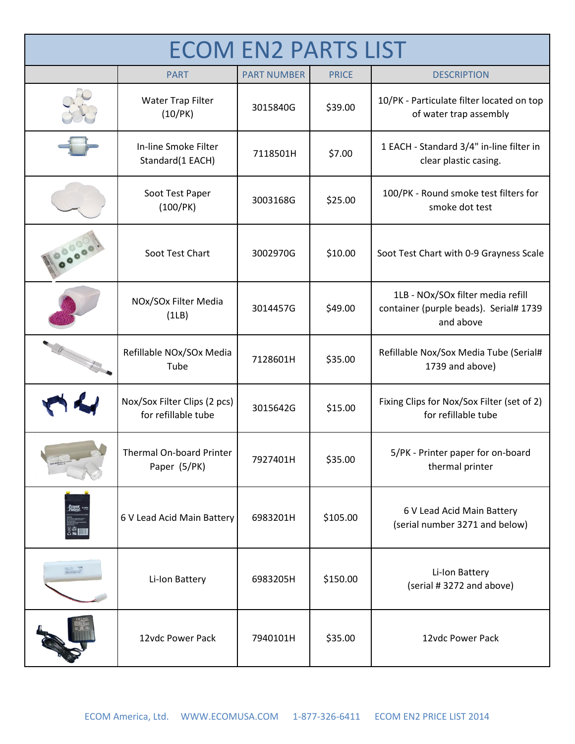| <b>ECOM EN2 PARTS LIST</b> |                                                     |                    |              |                                                                                          |  |
|----------------------------|-----------------------------------------------------|--------------------|--------------|------------------------------------------------------------------------------------------|--|
|                            | <b>PART</b>                                         | <b>PART NUMBER</b> | <b>PRICE</b> | <b>DESCRIPTION</b>                                                                       |  |
|                            | Water Trap Filter<br>(10/PK)                        | 3015840G           | \$39.00      | 10/PK - Particulate filter located on top<br>of water trap assembly                      |  |
|                            | In-line Smoke Filter<br>Standard(1 EACH)            | 7118501H           | \$7.00       | 1 EACH - Standard 3/4" in-line filter in<br>clear plastic casing.                        |  |
|                            | Soot Test Paper<br>(100/PK)                         | 3003168G           | \$25.00      | 100/PK - Round smoke test filters for<br>smoke dot test                                  |  |
|                            | Soot Test Chart                                     | 3002970G           | \$10.00      | Soot Test Chart with 0-9 Grayness Scale                                                  |  |
|                            | NOx/SOx Filter Media<br>(1LB)                       | 3014457G           | \$49.00      | 1LB - NOx/SOx filter media refill<br>container (purple beads). Serial# 1739<br>and above |  |
|                            | Refillable NOx/SOx Media<br>Tube                    | 7128601H           | \$35.00      | Refillable Nox/Sox Media Tube (Serial#<br>1739 and above)                                |  |
|                            | Nox/Sox Filter Clips (2 pcs)<br>for refillable tube | 3015642G           | \$15.00      | Fixing Clips for Nox/Sox Filter (set of 2)<br>for refillable tube                        |  |
|                            | Thermal On-board Printer<br>Paper (5/PK)            | 7927401H           | \$35.00      | 5/PK - Printer paper for on-board<br>thermal printer                                     |  |
| Power<br>Patrol            | 6 V Lead Acid Main Battery                          | 6983201H           | \$105.00     | 6 V Lead Acid Main Battery<br>(serial number 3271 and below)                             |  |
|                            | Li-Ion Battery                                      | 6983205H           | \$150.00     | Li-Ion Battery<br>(serial #3272 and above)                                               |  |
|                            | 12vdc Power Pack                                    | 7940101H           | \$35.00      | 12vdc Power Pack                                                                         |  |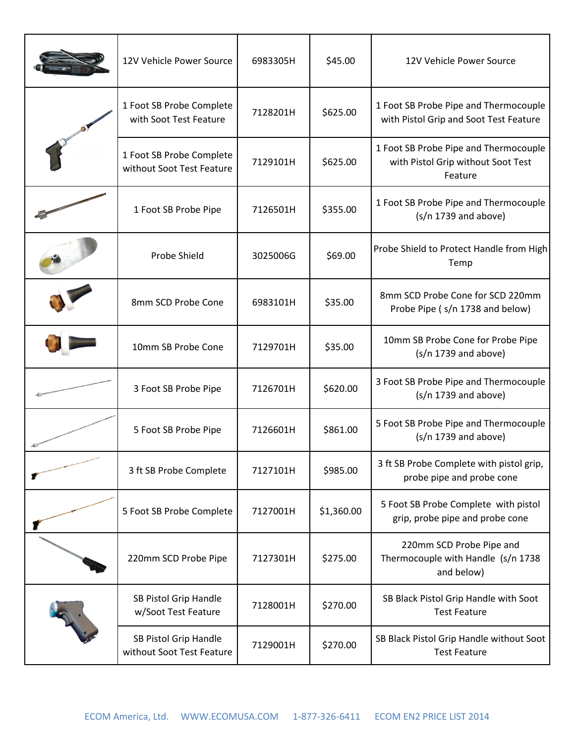| 12V Vehicle Power Source                              | 6983305H | \$45.00    | 12V Vehicle Power Source                                                               |
|-------------------------------------------------------|----------|------------|----------------------------------------------------------------------------------------|
| 1 Foot SB Probe Complete<br>with Soot Test Feature    | 7128201H | \$625.00   | 1 Foot SB Probe Pipe and Thermocouple<br>with Pistol Grip and Soot Test Feature        |
| 1 Foot SB Probe Complete<br>without Soot Test Feature | 7129101H | \$625.00   | 1 Foot SB Probe Pipe and Thermocouple<br>with Pistol Grip without Soot Test<br>Feature |
| 1 Foot SB Probe Pipe                                  | 7126501H | \$355.00   | 1 Foot SB Probe Pipe and Thermocouple<br>$(s/n 1739$ and above)                        |
| Probe Shield                                          | 3025006G | \$69.00    | Probe Shield to Protect Handle from High<br>Temp                                       |
| 8mm SCD Probe Cone                                    | 6983101H | \$35.00    | 8mm SCD Probe Cone for SCD 220mm<br>Probe Pipe (s/n 1738 and below)                    |
| 10mm SB Probe Cone                                    | 7129701H | \$35.00    | 10mm SB Probe Cone for Probe Pipe<br>$(s/n 1739$ and above)                            |
| 3 Foot SB Probe Pipe                                  | 7126701H | \$620.00   | 3 Foot SB Probe Pipe and Thermocouple<br>$(s/n 1739$ and above)                        |
| 5 Foot SB Probe Pipe                                  | 7126601H | \$861.00   | 5 Foot SB Probe Pipe and Thermocouple<br>$(s/n 1739$ and above)                        |
| 3 ft SB Probe Complete                                | 7127101H | \$985.00   | 3 ft SB Probe Complete with pistol grip,<br>probe pipe and probe cone                  |
| 5 Foot SB Probe Complete                              | 7127001H | \$1,360.00 | 5 Foot SB Probe Complete with pistol<br>grip, probe pipe and probe cone                |
| 220mm SCD Probe Pipe                                  | 7127301H | \$275.00   | 220mm SCD Probe Pipe and<br>Thermocouple with Handle (s/n 1738<br>and below)           |
| SB Pistol Grip Handle<br>w/Soot Test Feature          | 7128001H | \$270.00   | SB Black Pistol Grip Handle with Soot<br><b>Test Feature</b>                           |
| SB Pistol Grip Handle<br>without Soot Test Feature    | 7129001H | \$270.00   | SB Black Pistol Grip Handle without Soot<br><b>Test Feature</b>                        |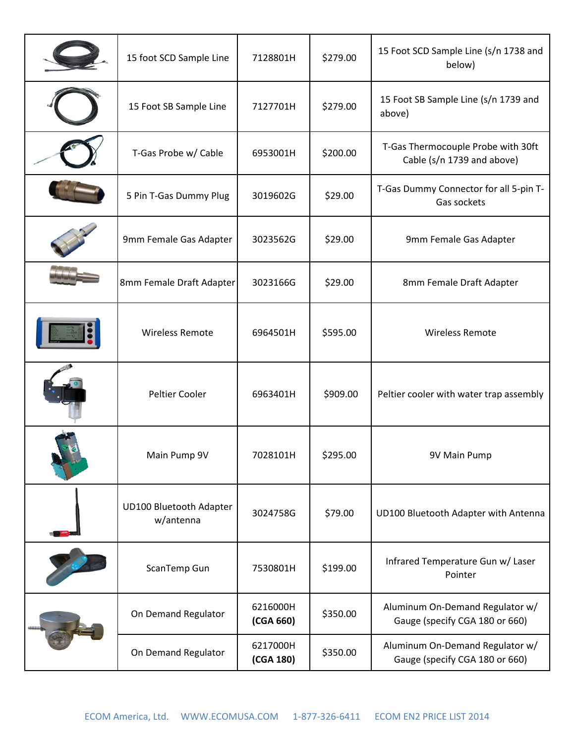|  | 15 foot SCD Sample Line              | 7128801H              | \$279.00 | 15 Foot SCD Sample Line (s/n 1738 and<br>below)                   |
|--|--------------------------------------|-----------------------|----------|-------------------------------------------------------------------|
|  | 15 Foot SB Sample Line               | 7127701H              | \$279.00 | 15 Foot SB Sample Line (s/n 1739 and<br>above)                    |
|  | T-Gas Probe w/ Cable                 | 6953001H              | \$200.00 | T-Gas Thermocouple Probe with 30ft<br>Cable (s/n 1739 and above)  |
|  | 5 Pin T-Gas Dummy Plug               | 3019602G              | \$29.00  | T-Gas Dummy Connector for all 5-pin T-<br>Gas sockets             |
|  | 9mm Female Gas Adapter               | 3023562G              | \$29.00  | 9mm Female Gas Adapter                                            |
|  | 8mm Female Draft Adapter             | 3023166G              | \$29.00  | 8mm Female Draft Adapter                                          |
|  | <b>Wireless Remote</b>               | 6964501H              | \$595.00 | <b>Wireless Remote</b>                                            |
|  | Peltier Cooler                       | 6963401H              | \$909.00 | Peltier cooler with water trap assembly                           |
|  | Main Pump 9V                         | 7028101H              | \$295.00 | 9V Main Pump                                                      |
|  | UD100 Bluetooth Adapter<br>w/antenna | 3024758G              | \$79.00  | UD100 Bluetooth Adapter with Antenna                              |
|  | ScanTemp Gun                         | 7530801H              | \$199.00 | Infrared Temperature Gun w/ Laser<br>Pointer                      |
|  | On Demand Regulator                  | 6216000H<br>(CGA 660) | \$350.00 | Aluminum On-Demand Regulator w/<br>Gauge (specify CGA 180 or 660) |
|  | On Demand Regulator                  | 6217000H<br>(CGA 180) | \$350.00 | Aluminum On-Demand Regulator w/<br>Gauge (specify CGA 180 or 660) |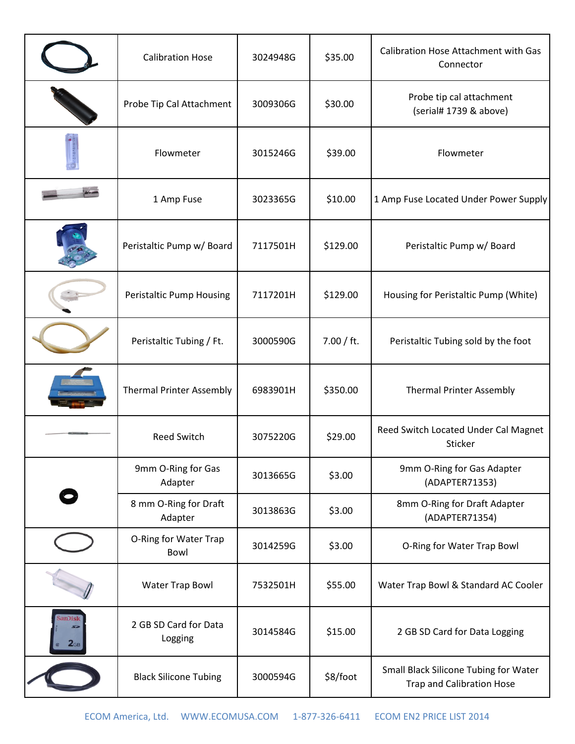|                            | <b>Calibration Hose</b>          | 3024948G | \$35.00    | Calibration Hose Attachment with Gas<br>Connector                         |
|----------------------------|----------------------------------|----------|------------|---------------------------------------------------------------------------|
|                            | Probe Tip Cal Attachment         | 3009306G | \$30.00    | Probe tip cal attachment<br>(serial# 1739 & above)                        |
|                            | Flowmeter                        | 3015246G | \$39.00    | Flowmeter                                                                 |
|                            | 1 Amp Fuse                       | 3023365G | \$10.00    | 1 Amp Fuse Located Under Power Supply                                     |
|                            | Peristaltic Pump w/ Board        | 7117501H | \$129.00   | Peristaltic Pump w/ Board                                                 |
|                            | <b>Peristaltic Pump Housing</b>  | 7117201H | \$129.00   | Housing for Peristaltic Pump (White)                                      |
|                            | Peristaltic Tubing / Ft.         | 3000590G | 7.00 / ft. | Peristaltic Tubing sold by the foot                                       |
|                            | <b>Thermal Printer Assembly</b>  | 6983901H | \$350.00   | <b>Thermal Printer Assembly</b>                                           |
|                            | <b>Reed Switch</b>               | 3075220G | \$29.00    | Reed Switch Located Under Cal Magnet<br>Sticker                           |
|                            | 9mm O-Ring for Gas<br>Adapter    | 3013665G | \$3.00     | 9mm O-Ring for Gas Adapter<br>(ADAPTER71353)                              |
|                            | 8 mm O-Ring for Draft<br>Adapter | 3013863G | \$3.00     | 8mm O-Ring for Draft Adapter<br>(ADAPTER71354)                            |
|                            | O-Ring for Water Trap<br>Bowl    | 3014259G | \$3.00     | O-Ring for Water Trap Bowl                                                |
|                            | <b>Water Trap Bowl</b>           | 7532501H | \$55.00    | Water Trap Bowl & Standard AC Cooler                                      |
| sanDisk<br>2 <sub>GB</sub> | 2 GB SD Card for Data<br>Logging | 3014584G | \$15.00    | 2 GB SD Card for Data Logging                                             |
|                            | <b>Black Silicone Tubing</b>     | 3000594G | \$8/foot   | Small Black Silicone Tubing for Water<br><b>Trap and Calibration Hose</b> |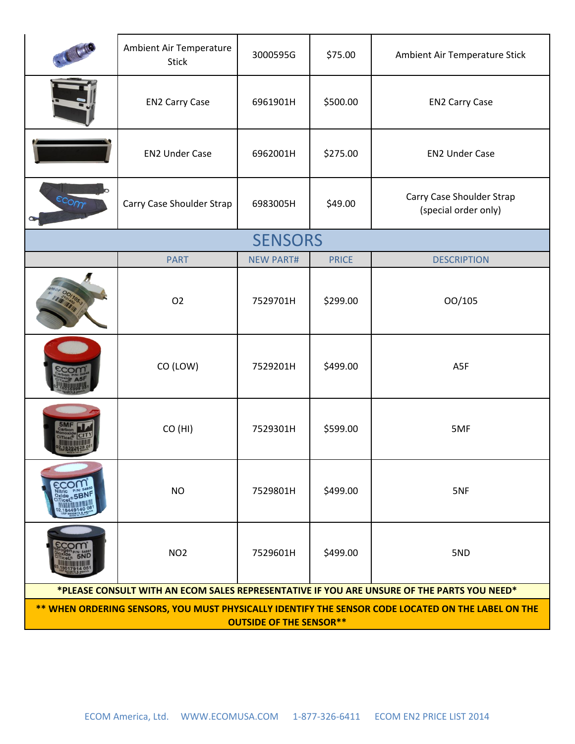|                                                                                                                                      | Ambient Air Temperature<br><b>Stick</b> | 3000595G         | \$75.00      | Ambient Air Temperature Stick                     |  |
|--------------------------------------------------------------------------------------------------------------------------------------|-----------------------------------------|------------------|--------------|---------------------------------------------------|--|
|                                                                                                                                      | <b>EN2 Carry Case</b>                   | 6961901H         | \$500.00     | <b>EN2 Carry Case</b>                             |  |
|                                                                                                                                      | <b>EN2 Under Case</b>                   | 6962001H         | \$275.00     | <b>EN2 Under Case</b>                             |  |
| ecom                                                                                                                                 | Carry Case Shoulder Strap               | 6983005H         | \$49.00      | Carry Case Shoulder Strap<br>(special order only) |  |
|                                                                                                                                      |                                         | <b>SENSORS</b>   |              |                                                   |  |
|                                                                                                                                      | <b>PART</b>                             | <b>NEW PART#</b> | <b>PRICE</b> | <b>DESCRIPTION</b>                                |  |
|                                                                                                                                      | O <sub>2</sub>                          | 7529701H         | \$299.00     | 00/105                                            |  |
|                                                                                                                                      | CO (LOW)                                | 7529201H         | \$499.00     | A5F                                               |  |
|                                                                                                                                      | CO (HI)                                 | 7529301H         | \$599.00     | 5MF                                               |  |
| Nitric P/N:<br>5BNF<br>Oxide                                                                                                         | <b>NO</b>                               | 7529801H         | \$499.00     | 5NF                                               |  |
| 5ND                                                                                                                                  | NO <sub>2</sub>                         | 7529601H         | \$499.00     | 5ND                                               |  |
| *PLEASE CONSULT WITH AN ECOM SALES REPRESENTATIVE IF YOU ARE UNSURE OF THE PARTS YOU NEED*                                           |                                         |                  |              |                                                   |  |
| ** WHEN ORDERING SENSORS, YOU MUST PHYSICALLY IDENTIFY THE SENSOR CODE LOCATED ON THE LABEL ON THE<br><b>OUTSIDE OF THE SENSOR**</b> |                                         |                  |              |                                                   |  |